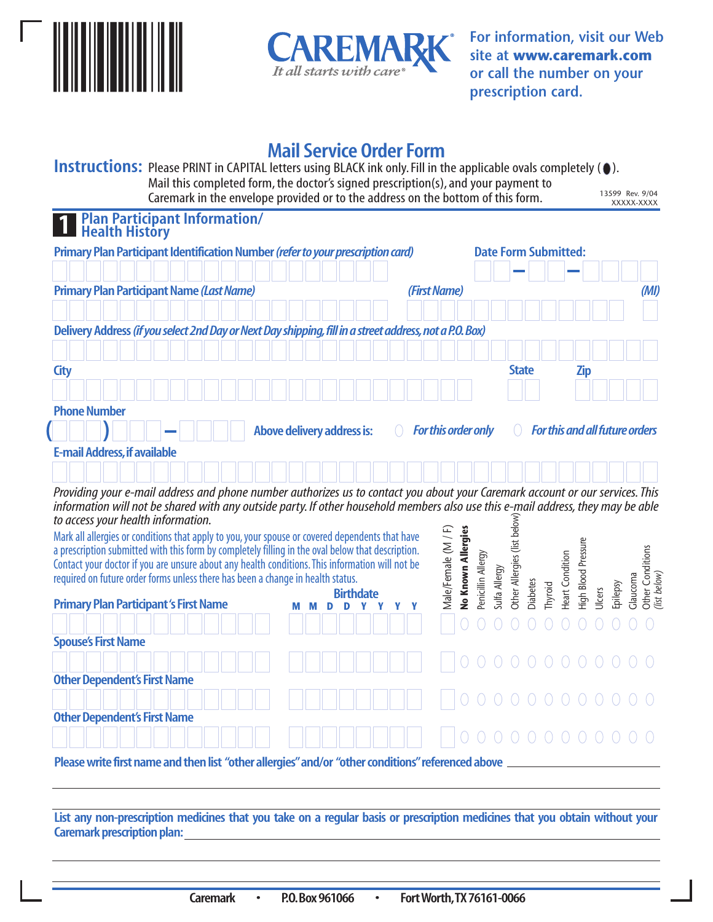



**For information, visit our Web site at www.caremark.com or call the number on your prescription card.**

## **Mail Service Order Form**

**Instructions:** Please PRINT in CAPITAL letters using BLACK ink only. Fill in the applicable ovals completely ( $\bullet$ ). Mail this completed form, the doctor's signed prescription(s), and your payment to Caremark in the envelope provided or to the address on the bottom of this form. 13599 Rev. 9/04 XXXXX-XXXX

| <b>Plan Participant Information/</b><br>Health History                                                                                                                 |  |  |                            |  |                  |  |  |                     |                    |                    |               |                             |                 |                             |                 |                     |                    |                                  |
|------------------------------------------------------------------------------------------------------------------------------------------------------------------------|--|--|----------------------------|--|------------------|--|--|---------------------|--------------------|--------------------|---------------|-----------------------------|-----------------|-----------------------------|-----------------|---------------------|--------------------|----------------------------------|
| Primary Plan Participant Identification Number (refer to your prescription card)                                                                                       |  |  |                            |  |                  |  |  |                     |                    |                    |               |                             |                 | <b>Date Form Submitted:</b> |                 |                     |                    |                                  |
|                                                                                                                                                                        |  |  |                            |  |                  |  |  |                     |                    |                    |               |                             |                 |                             |                 |                     |                    |                                  |
| <b>Primary Plan Participant Name (Last Name)</b>                                                                                                                       |  |  |                            |  |                  |  |  | (First Name)        |                    |                    |               |                             |                 |                             |                 |                     |                    | (MI)                             |
| Delivery Address (if you select 2nd Day or Next Day shipping, fill in a street address, not a P.O. Box)                                                                |  |  |                            |  |                  |  |  |                     |                    |                    |               |                             |                 |                             |                 |                     |                    |                                  |
|                                                                                                                                                                        |  |  |                            |  |                  |  |  |                     |                    |                    |               |                             |                 |                             |                 |                     |                    |                                  |
| <b>City</b>                                                                                                                                                            |  |  |                            |  |                  |  |  |                     |                    |                    |               | <b>State</b>                |                 |                             |                 | <b>Zip</b>          |                    |                                  |
|                                                                                                                                                                        |  |  |                            |  |                  |  |  |                     |                    |                    |               |                             |                 |                             |                 |                     |                    |                                  |
| <b>Phone Number</b>                                                                                                                                                    |  |  |                            |  |                  |  |  |                     |                    |                    |               |                             |                 |                             |                 |                     |                    |                                  |
|                                                                                                                                                                        |  |  | Above delivery address is: |  |                  |  |  | For this order only |                    |                    |               |                             |                 |                             |                 |                     |                    | For this and all future orders   |
| <b>E-mail Address, if available</b>                                                                                                                                    |  |  |                            |  |                  |  |  |                     |                    |                    |               |                             |                 |                             |                 |                     |                    |                                  |
|                                                                                                                                                                        |  |  |                            |  |                  |  |  |                     |                    |                    |               |                             |                 |                             |                 |                     |                    |                                  |
| Providing your e-mail address and phone number authorizes us to contact you about your Caremark account or our services. This                                          |  |  |                            |  |                  |  |  |                     |                    |                    |               |                             |                 |                             |                 |                     |                    |                                  |
| information will not be shared with any outside party. If other household members also use this e-mail address, they may be able<br>to access your health information. |  |  |                            |  |                  |  |  |                     |                    |                    |               |                             |                 |                             |                 |                     |                    |                                  |
| Mark all allergies or conditions that apply to you, your spouse or covered dependents that have                                                                        |  |  |                            |  |                  |  |  |                     |                    |                    |               | Other Allergies (list below |                 |                             |                 |                     |                    |                                  |
| a prescription submitted with this form by completely filling in the oval below that description.                                                                      |  |  |                            |  |                  |  |  | Male/Female (M / F) | No Known Allergies |                    |               |                             |                 |                             |                 | High Blood Pressure |                    |                                  |
| Contact your doctor if you are unsure about any health conditions. This information will not be                                                                        |  |  |                            |  |                  |  |  |                     |                    |                    |               |                             |                 |                             |                 |                     |                    |                                  |
| required on future order forms unless there has been a change in health status.                                                                                        |  |  |                            |  | <b>Birthdate</b> |  |  |                     |                    | Penicillin Allergy | Sulfa Allergy |                             | <b>Diabetes</b> |                             | Heart Condition |                     |                    | Glaucoma                         |
| <b>Primary Plan Participant's First Name</b>                                                                                                                           |  |  |                            |  |                  |  |  |                     |                    |                    |               |                             |                 | Thyroid                     |                 |                     | Epilepsy<br>Ulcers | Other Conditions<br>(list below) |
|                                                                                                                                                                        |  |  |                            |  |                  |  |  |                     |                    |                    |               |                             |                 |                             |                 |                     |                    |                                  |

|                                     |  | $\mathbf{B}$ , $\mathbf{B}$ , $\mathbf{B}$ |  |  |  |                      |  |  |  |  |  |  |
|-------------------------------------|--|--------------------------------------------|--|--|--|----------------------|--|--|--|--|--|--|
|                                     |  |                                            |  |  |  |                      |  |  |  |  |  |  |
| <b>Other Dependent's First Name</b> |  |                                            |  |  |  |                      |  |  |  |  |  |  |
|                                     |  |                                            |  |  |  |                      |  |  |  |  |  |  |
| <b>Other Dependent's First Name</b> |  |                                            |  |  |  |                      |  |  |  |  |  |  |
|                                     |  |                                            |  |  |  |                      |  |  |  |  |  |  |
| <b>Spouse's First Name</b>          |  |                                            |  |  |  |                      |  |  |  |  |  |  |
|                                     |  |                                            |  |  |  | HHHHHH HIOOOOOOOOOOO |  |  |  |  |  |  |

**Please write first name and then list "other allergies"and/or "other conditions"referenced above**

**List any non-prescription medicines that you take on a regular basis or prescription medicines that you obtain without your Caremark prescription plan:**